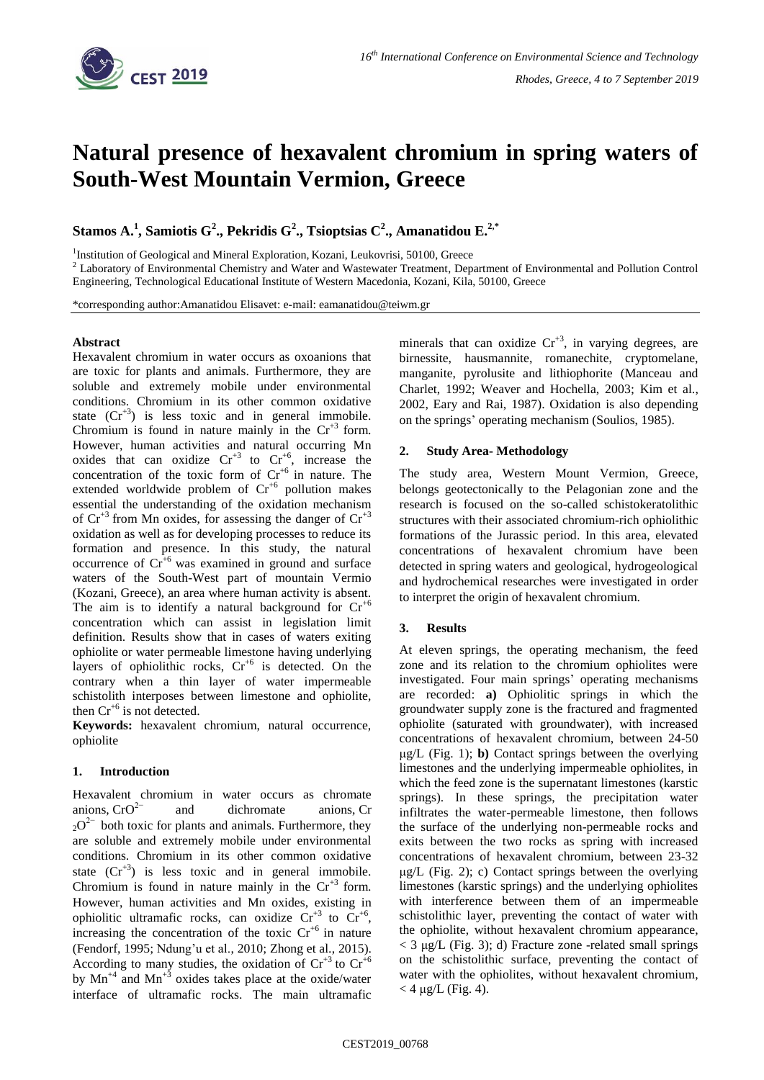

# **Natural presence of hexavalent chromium in spring waters of South-West Mountain Vermion, Greece**

**Stamos A. 1 , Samiotis G<sup>2</sup> ., Pekridis G<sup>2</sup> ., Tsioptsias C<sup>2</sup> ., Amanatidou E.2,\***

<sup>1</sup>Institution of Geological and Mineral Exploration, Kozani, Leukovrisi, 50100, Greece

<sup>2</sup> Laboratory of Environmental Chemistry and Water and Wastewater Treatment, Department of Environmental and Pollution Control Engineering, Technological Educational Institute of Western Macedonia, Kozani, Kila, 50100, Greece

\*corresponding author:Amanatidou Elisavet: e-mail: eamanatidou@teiwm.gr

#### **Abstract**

Hexavalent chromium in water occurs as oxoanions that are toxic for plants and animals. Furthermore, they are soluble and extremely mobile under environmental conditions. Chromium in its other common oxidative state  $(Cr^{3})$  is less toxic and in general immobile. Chromium is found in nature mainly in the  $Cr^{3}$  form. However, human activities and natural occurring Mn oxides that can oxidize  $Cr^{+3}$  to  $Cr^{+6}$ , increase the concentration of the toxic form of  $Cr^{+6}$  in nature. The extended worldwide problem of  $Cr^{+6}$  pollution makes essential the understanding of the oxidation mechanism of  $Cr^{3}$  from Mn oxides, for assessing the danger of  $Cr^{4}$ oxidation as well as for developing processes to reduce its formation and presence. In this study, the natural occurrence of  $Cr^{+6}$  was examined in ground and surface waters of the South-West part of mountain Vermio (Kozani, Greece), an area where human activity is absent. The aim is to identify a natural background for  $Cr^{+6}$ concentration which can assist in legislation limit definition. Results show that in cases of waters exiting ophiolite or water permeable limestone having underlying layers of ophiolithic rocks,  $Cr^{+6}$  is detected. On the contrary when a thin layer of water impermeable schistolith interposes between limestone and ophiolite, then  $Cr^{+6}$  is not detected.

**Keywords:** hexavalent chromium, natural occurrence, ophiolite

## **1. Introduction**

Hexavalent chromium in water occurs as chromate anions,  $CrO<sup>2−</sup>$  and dichromate anions, Cr  $20^{2}$  both toxic for plants and animals. Furthermore, they are soluble and extremely mobile under environmental conditions. Chromium in its other common oxidative state  $(Cr^{+3})$  is less toxic and in general immobile. Chromium is found in nature mainly in the  $Cr^{3}$  form. However, human activities and Mn oxides, existing in ophiolitic ultramafic rocks, can oxidize  $Cr^{+3}$  to  $Cr^{+6}$ , increasing the concentration of the toxic  $Cr^{+6}$  in nature (Fendorf, 1995; Ndung'u et al., 2010; Zhong et al., 2015). According to many studies, the oxidation of  $Cr^{+3}$  to  $Cr^{+6}$ by  $Mn^{4}$  and  $Mn^{3}$  oxides takes place at the oxide/water interface of ultramafic rocks. The main ultramafic

minerals that can oxidize  $Cr^{+3}$ , in varying degrees, are birnessite, hausmannite, romanechite, cryptomelane, manganite, pyrolusite and lithiophorite (Manceau and Charlet, 1992; Weaver and Hochella, 2003; Kim et al., 2002, Eary and Rai, 1987). Oxidation is also depending on the springs' operating mechanism (Soulios, 1985).

# **2. Study Area- Methodology**

The study area, Western Mount Vermion, Greece, belongs geotectonically to the Pelagonian zone and the research is focused on the so-called schistokeratolithic structures with their associated chromium-rich ophiolithic formations of the Jurassic period. In this area, elevated concentrations of hexavalent chromium have been detected in spring waters and geological, hydrogeological and hydrochemical researches were investigated in order to interpret the origin of hexavalent chromium.

## **3. Results**

At eleven springs, the operating mechanism, the feed zone and its relation to the chromium ophiolites were investigated. Four main springs' operating mechanisms are recorded: **a)** Ophiolitic springs in which the groundwater supply zone is the fractured and fragmented ophiolite (saturated with groundwater), with increased concentrations of hexavalent chromium, between 24-50 μg/L (Fig. 1); **b)** Contact springs between the overlying limestones and the underlying impermeable ophiolites, in which the feed zone is the supernatant limestones (karstic springs). In these springs, the precipitation water infiltrates the water-permeable limestone, then follows the surface of the underlying non-permeable rocks and exits between the two rocks as spring with increased concentrations of hexavalent chromium, between 23-32  $\mu$ g/L (Fig. 2); c) Contact springs between the overlying limestones (karstic springs) and the underlying ophiolites with interference between them of an impermeable schistolithic layer, preventing the contact of water with the ophiolite, without hexavalent chromium appearance,  $<$  3 μg/L (Fig. 3); d) Fracture zone -related small springs on the schistolithic surface, preventing the contact of water with the ophiolites, without hexavalent chromium,  $<$  4  $\mu$ g/L (Fig. 4).